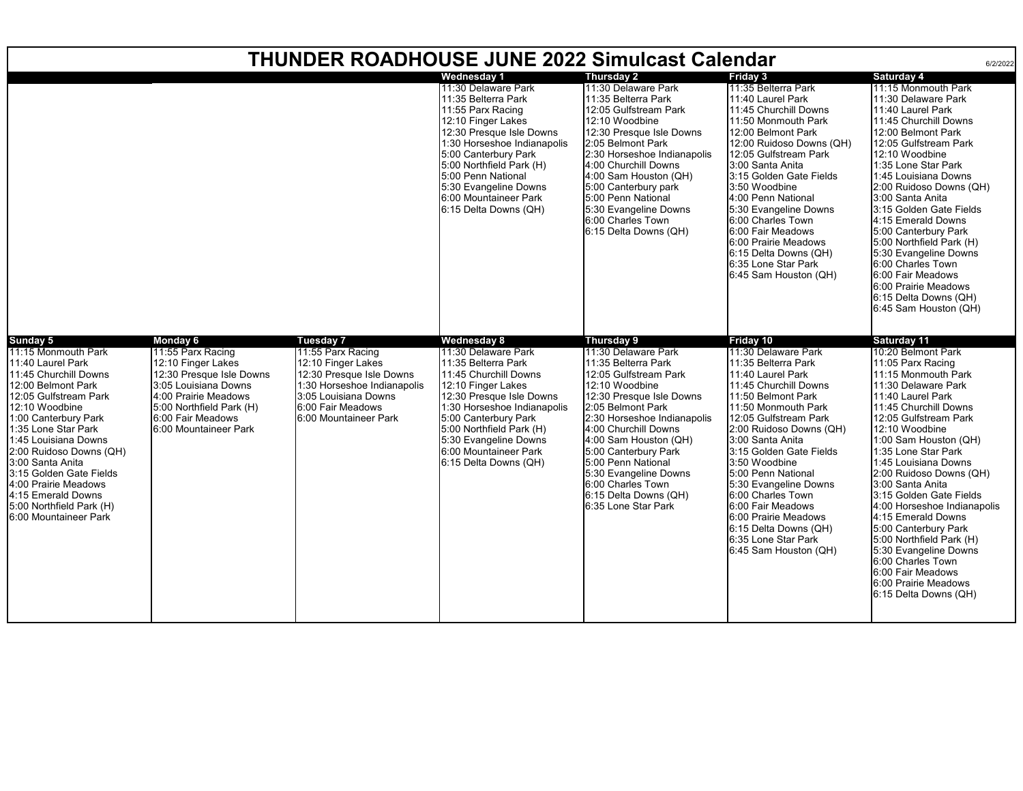| <b>THUNDER ROADHOUSE JUNE 2022 Simulcast Calendar</b><br>6/2/2022                                                                                                                                                                                                                                                                                                                                  |                                                                                                                                                                                                                  |                                                                                                                                                                                       |                                                                                                                                                                                                                                                                                                                      |                                                                                                                                                                                                                                                                                                                                                                                  |                                                                                                                                                                                                                                                                                                                                                                                                                                                                  |                                                                                                                                                                                                                                                                                                                                                                                                                                                                                                                                                                              |  |  |  |  |
|----------------------------------------------------------------------------------------------------------------------------------------------------------------------------------------------------------------------------------------------------------------------------------------------------------------------------------------------------------------------------------------------------|------------------------------------------------------------------------------------------------------------------------------------------------------------------------------------------------------------------|---------------------------------------------------------------------------------------------------------------------------------------------------------------------------------------|----------------------------------------------------------------------------------------------------------------------------------------------------------------------------------------------------------------------------------------------------------------------------------------------------------------------|----------------------------------------------------------------------------------------------------------------------------------------------------------------------------------------------------------------------------------------------------------------------------------------------------------------------------------------------------------------------------------|------------------------------------------------------------------------------------------------------------------------------------------------------------------------------------------------------------------------------------------------------------------------------------------------------------------------------------------------------------------------------------------------------------------------------------------------------------------|------------------------------------------------------------------------------------------------------------------------------------------------------------------------------------------------------------------------------------------------------------------------------------------------------------------------------------------------------------------------------------------------------------------------------------------------------------------------------------------------------------------------------------------------------------------------------|--|--|--|--|
|                                                                                                                                                                                                                                                                                                                                                                                                    |                                                                                                                                                                                                                  |                                                                                                                                                                                       | Wednesday 1<br>11:30 Delaware Park<br>11:35 Belterra Park<br>11:55 Parx Racing<br>12:10 Finger Lakes<br>12:30 Presque Isle Downs<br>1:30 Horseshoe Indianapolis<br>5:00 Canterbury Park<br>5:00 Northfield Park (H)<br>5:00 Penn National<br>5:30 Evangeline Downs<br>6:00 Mountaineer Park<br>6:15 Delta Downs (QH) | <b>Thursday 2</b><br>11:30 Delaware Park<br>11:35 Belterra Park<br>12:05 Gulfstream Park<br>12:10 Woodbine<br>12:30 Presque Isle Downs<br>2:05 Belmont Park<br>2:30 Horseshoe Indianapolis<br>4:00 Churchill Downs<br>4:00 Sam Houston (QH)<br>5:00 Canterbury park<br>5:00 Penn National<br>5:30 Evangeline Downs<br>6:00 Charles Town<br>6:15 Delta Downs (QH)                 | Friday 3<br>11:35 Belterra Park<br>11:40 Laurel Park<br>11:45 Churchill Downs<br>11:50 Monmouth Park<br>12:00 Belmont Park<br>12:00 Ruidoso Downs (QH)<br>12:05 Gulfstream Park<br>3:00 Santa Anita<br>3:15 Golden Gate Fields<br>3:50 Woodbine<br>4:00 Penn National<br>5:30 Evangeline Downs<br>6:00 Charles Town<br>6:00 Fair Meadows<br>6:00 Prairie Meadows<br>6:15 Delta Downs (QH)<br>6:35 Lone Star Park<br>6:45 Sam Houston (QH)                        | Saturday 4<br>11:15 Monmouth Park<br>11:30 Delaware Park<br>11:40 Laurel Park<br>11:45 Churchill Downs<br>12:00 Belmont Park<br>12:05 Gulfstream Park<br>12:10 Woodbine<br>1:35 Lone Star Park<br>1:45 Louisiana Downs<br>2:00 Ruidoso Downs (QH)<br>3:00 Santa Anita<br>3:15 Golden Gate Fields<br>4:15 Emerald Downs<br>5:00 Canterbury Park<br>5:00 Northfield Park (H)<br>5:30 Evangeline Downs<br>6:00 Charles Town<br>6:00 Fair Meadows<br>6:00 Prairie Meadows<br>6:15 Delta Downs (QH)<br>6:45 Sam Houston (QH)                                                      |  |  |  |  |
| Sunday 5<br>11:15 Monmouth Park<br>11:40 Laurel Park<br>11:45 Churchill Downs<br>12:00 Belmont Park<br>12:05 Gulfstream Park<br>12:10 Woodbine<br>1:00 Canterbury Park<br>1:35 Lone Star Park<br>1:45 Louisiana Downs<br>2:00 Ruidoso Downs (QH)<br>3:00 Santa Anita<br>3:15 Golden Gate Fields<br>4:00 Prairie Meadows<br>4:15 Emerald Downs<br>5:00 Northfield Park (H)<br>6:00 Mountaineer Park | <b>Monday 6</b><br>11:55 Parx Racing<br>12:10 Finger Lakes<br>12:30 Presque Isle Downs<br>3:05 Louisiana Downs<br>4:00 Prairie Meadows<br>5:00 Northfield Park (H)<br>6:00 Fair Meadows<br>6:00 Mountaineer Park | Tuesday 7<br>11:55 Parx Racing<br>12:10 Finger Lakes<br>12:30 Presque Isle Downs<br>1:30 Horseshoe Indianapolis<br>3:05 Louisiana Downs<br>6:00 Fair Meadows<br>6:00 Mountaineer Park | <b>Wednesday 8</b><br>11:30 Delaware Park<br>11:35 Belterra Park<br>11:45 Churchill Downs<br>12:10 Finger Lakes<br>12:30 Presque Isle Downs<br>1:30 Horseshoe Indianapolis<br>5:00 Canterbury Park<br>5:00 Northfield Park (H)<br>5:30 Evangeline Downs<br>6:00 Mountaineer Park<br>6:15 Delta Downs (QH)            | Thursday 9<br>11:30 Delaware Park<br>11:35 Belterra Park<br>12:05 Gulfstream Park<br>12:10 Woodbine<br>12:30 Presque Isle Downs<br>2:05 Belmont Park<br>2:30 Horseshoe Indianapolis<br>4:00 Churchill Downs<br>4:00 Sam Houston (QH)<br>5:00 Canterbury Park<br>5:00 Penn National<br>5:30 Evangeline Downs<br>6:00 Charles Town<br>6:15 Delta Downs (QH)<br>6:35 Lone Star Park | Friday 10<br>11:30 Delaware Park<br>11:35 Belterra Park<br>11:40 Laurel Park<br>11:45 Churchill Downs<br>11:50 Belmont Park<br>11:50 Monmouth Park<br>12:05 Gulfstream Park<br>2:00 Ruidoso Downs (QH)<br>3:00 Santa Anita<br>3:15 Golden Gate Fields<br>3:50 Woodbine<br>5:00 Penn National<br>5:30 Evangeline Downs<br>6:00 Charles Town<br>6:00 Fair Meadows<br>6:00 Prairie Meadows<br>6:15 Delta Downs (QH)<br>6:35 Lone Star Park<br>6:45 Sam Houston (QH) | Saturday 11<br>10:20 Belmont Park<br>11:05 Parx Racing<br>11:15 Monmouth Park<br>11:30 Delaware Park<br>11:40 Laurel Park<br>11:45 Churchill Downs<br>12:05 Gulfstream Park<br>12:10 Woodbine<br>1:00 Sam Houston (QH)<br>1:35 Lone Star Park<br>1:45 Louisiana Downs<br>2:00 Ruidoso Downs (QH)<br>3:00 Santa Anita<br>3:15 Golden Gate Fields<br>4:00 Horseshoe Indianapolis<br>4:15 Emerald Downs<br>5:00 Canterbury Park<br>5:00 Northfield Park (H)<br>5:30 Evangeline Downs<br>6:00 Charles Town<br>6:00 Fair Meadows<br>6:00 Prairie Meadows<br>6:15 Delta Downs (QH) |  |  |  |  |